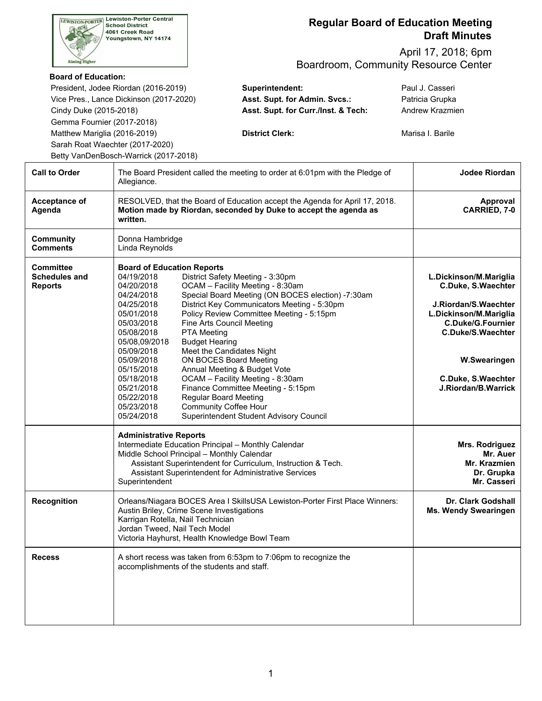| <b>Lewiston-Porter Central</b><br>LEWISTON-PORTER<br><b>School District</b><br>4061 Creek Road<br>Youngstown, NY 14174                                |                                                                                                                                                                                                                                                                              | <b>Regular Board of Education Meeting</b><br><b>Draft Minutes</b>                                                                                                                                                                                                                                                                                                                                                                                                                                                                                                            |                                                                                                                                                                                                                     |  |  |  |
|-------------------------------------------------------------------------------------------------------------------------------------------------------|------------------------------------------------------------------------------------------------------------------------------------------------------------------------------------------------------------------------------------------------------------------------------|------------------------------------------------------------------------------------------------------------------------------------------------------------------------------------------------------------------------------------------------------------------------------------------------------------------------------------------------------------------------------------------------------------------------------------------------------------------------------------------------------------------------------------------------------------------------------|---------------------------------------------------------------------------------------------------------------------------------------------------------------------------------------------------------------------|--|--|--|
| <b>Aiming Higher</b>                                                                                                                                  |                                                                                                                                                                                                                                                                              | April 17, 2018; 6pm<br>Boardroom, Community Resource Center                                                                                                                                                                                                                                                                                                                                                                                                                                                                                                                  |                                                                                                                                                                                                                     |  |  |  |
| <b>Board of Education:</b><br>Cindy Duke (2015-2018)<br>Gemma Fournier (2017-2018)<br>Matthew Mariglia (2016-2019)<br>Sarah Roat Waechter (2017-2020) | President, Jodee Riordan (2016-2019)<br>Vice Pres., Lance Dickinson (2017-2020)<br>Betty VanDenBosch-Warrick (2017-2018)                                                                                                                                                     | Superintendent:<br>Asst. Supt. for Admin. Svcs.:<br>Asst. Supt. for Curr./Inst. & Tech:<br><b>District Clerk:</b>                                                                                                                                                                                                                                                                                                                                                                                                                                                            | Paul J. Casseri<br>Patricia Grupka<br>Andrew Krazmien<br>Marisa I. Barile                                                                                                                                           |  |  |  |
| <b>Call to Order</b>                                                                                                                                  | The Board President called the meeting to order at 6:01pm with the Pledge of<br>Allegiance.                                                                                                                                                                                  |                                                                                                                                                                                                                                                                                                                                                                                                                                                                                                                                                                              |                                                                                                                                                                                                                     |  |  |  |
| Acceptance of<br>Agenda                                                                                                                               | RESOLVED, that the Board of Education accept the Agenda for April 17, 2018.<br>Motion made by Riordan, seconded by Duke to accept the agenda as<br>written.                                                                                                                  | Approval<br>CARRIED, 7-0                                                                                                                                                                                                                                                                                                                                                                                                                                                                                                                                                     |                                                                                                                                                                                                                     |  |  |  |
| <b>Community</b><br><b>Comments</b>                                                                                                                   | Donna Hambridge<br>Linda Reynolds                                                                                                                                                                                                                                            |                                                                                                                                                                                                                                                                                                                                                                                                                                                                                                                                                                              |                                                                                                                                                                                                                     |  |  |  |
| <b>Committee</b><br><b>Schedules and</b><br><b>Reports</b>                                                                                            | <b>Board of Education Reports</b><br>04/19/2018<br>04/20/2018<br>04/24/2018<br>04/25/2018<br>05/01/2018<br>05/03/2018<br>05/08/2018<br>05/08,09/2018<br>05/09/2018<br>05/09/2018<br>05/15/2018<br>05/18/2018<br>05/21/2018<br>05/22/2018<br>05/23/2018<br>05/24/2018         | District Safety Meeting - 3:30pm<br>OCAM - Facility Meeting - 8:30am<br>Special Board Meeting (ON BOCES election) -7:30am<br>District Key Communicators Meeting - 5:30pm<br>Policy Review Committee Meeting - 5:15pm<br>Fine Arts Council Meeting<br><b>PTA Meeting</b><br><b>Budget Hearing</b><br>Meet the Candidates Night<br>ON BOCES Board Meeting<br>Annual Meeting & Budget Vote<br>OCAM - Facility Meeting - 8:30am<br>Finance Committee Meeting - 5:15pm<br><b>Regular Board Meeting</b><br><b>Community Coffee Hour</b><br>Superintendent Student Advisory Council | L.Dickinson/M.Mariglia<br>C.Duke, S.Waechter<br>J.Riordan/S.Waechter<br>L.Dickinson/M.Mariglia<br><b>C.Duke/G.Fournier</b><br><b>C.Duke/S.Waechter</b><br>W.Swearingen<br>C.Duke, S.Waechter<br>J.Riordan/B.Warrick |  |  |  |
|                                                                                                                                                       | <b>Administrative Reports</b><br>Intermediate Education Principal - Monthly Calendar<br>Middle School Principal - Monthly Calendar<br>Assistant Superintendent for Curriculum, Instruction & Tech.<br>Assistant Superintendent for Administrative Services<br>Superintendent | Mrs. Rodriguez<br>Mr. Auer<br>Mr. Krazmien<br>Dr. Grupka<br>Mr. Casseri                                                                                                                                                                                                                                                                                                                                                                                                                                                                                                      |                                                                                                                                                                                                                     |  |  |  |
| <b>Recognition</b>                                                                                                                                    | Orleans/Niagara BOCES Area I SkillsUSA Lewiston-Porter First Place Winners:<br>Austin Briley, Crime Scene Investigations<br>Karrigan Rotella, Nail Technician<br>Jordan Tweed, Nail Tech Model<br>Victoria Hayhurst, Health Knowledge Bowl Team                              | Dr. Clark Godshall<br><b>Ms. Wendy Swearingen</b>                                                                                                                                                                                                                                                                                                                                                                                                                                                                                                                            |                                                                                                                                                                                                                     |  |  |  |
| <b>Recess</b>                                                                                                                                         |                                                                                                                                                                                                                                                                              | A short recess was taken from 6:53pm to 7:06pm to recognize the<br>accomplishments of the students and staff.                                                                                                                                                                                                                                                                                                                                                                                                                                                                |                                                                                                                                                                                                                     |  |  |  |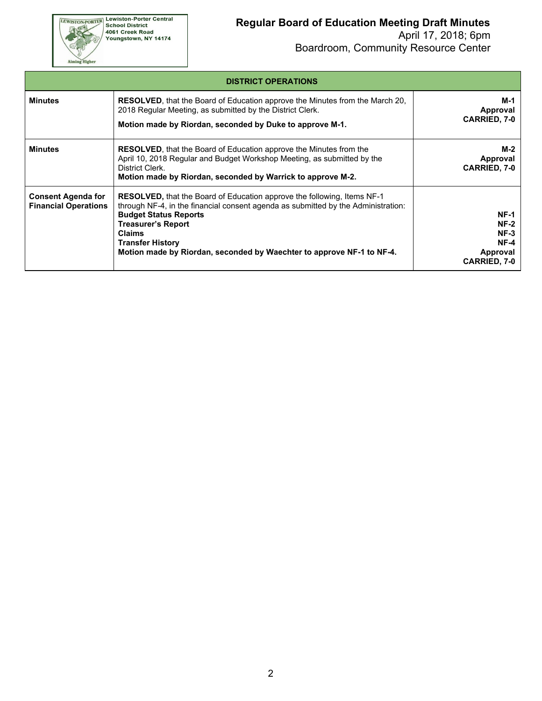Aiming Higher

#### **Regular Board of Education Meeting Draft Minutes**

| <b>DISTRICT OPERATIONS</b>                               |                                                                                                                                                                                                                                                                                                                                                |                                                                                   |  |  |  |
|----------------------------------------------------------|------------------------------------------------------------------------------------------------------------------------------------------------------------------------------------------------------------------------------------------------------------------------------------------------------------------------------------------------|-----------------------------------------------------------------------------------|--|--|--|
| <b>Minutes</b>                                           | <b>RESOLVED</b> , that the Board of Education approve the Minutes from the March 20,<br>2018 Regular Meeting, as submitted by the District Clerk.<br>Motion made by Riordan, seconded by Duke to approve M-1.                                                                                                                                  | M-1<br>Approval<br><b>CARRIED, 7-0</b>                                            |  |  |  |
| <b>Minutes</b>                                           | <b>RESOLVED</b> , that the Board of Education approve the Minutes from the<br>April 10, 2018 Regular and Budget Workshop Meeting, as submitted by the<br>District Clerk.<br>Motion made by Riordan, seconded by Warrick to approve M-2.                                                                                                        | M-2<br>Approval<br><b>CARRIED, 7-0</b>                                            |  |  |  |
| <b>Consent Agenda for</b><br><b>Financial Operations</b> | RESOLVED, that the Board of Education approve the following, Items NF-1<br>through NF-4, in the financial consent agenda as submitted by the Administration:<br><b>Budget Status Reports</b><br><b>Treasurer's Report</b><br><b>Claims</b><br><b>Transfer History</b><br>Motion made by Riordan, seconded by Waechter to approve NF-1 to NF-4. | <b>NF-1</b><br><b>NF-2</b><br>$NF-3$<br>$NF-4$<br>Approval<br><b>CARRIED, 7-0</b> |  |  |  |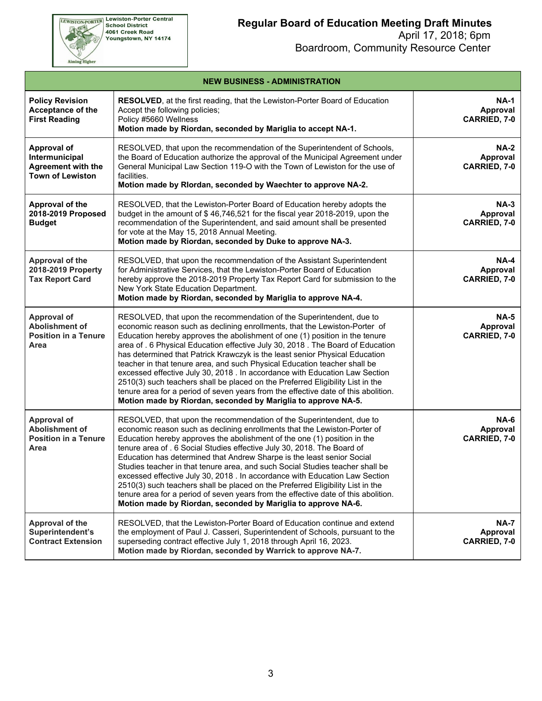Aiming Higher

# **Regular Board of Education Meeting Draft Minutes**

| <b>Policy Revision</b><br>Acceptance of the<br><b>First Reading</b>                          | <b>RESOLVED</b> , at the first reading, that the Lewiston-Porter Board of Education<br>Accept the following policies;<br>Policy #5660 Wellness<br>Motion made by Riordan, seconded by Mariglia to accept NA-1.                                                                                                                                                                                                                                                                                                                                                                                                                                                                                                                                                                                           | <b>NA-1</b><br>Approval<br>CARRIED, 7-0 |
|----------------------------------------------------------------------------------------------|----------------------------------------------------------------------------------------------------------------------------------------------------------------------------------------------------------------------------------------------------------------------------------------------------------------------------------------------------------------------------------------------------------------------------------------------------------------------------------------------------------------------------------------------------------------------------------------------------------------------------------------------------------------------------------------------------------------------------------------------------------------------------------------------------------|-----------------------------------------|
| <b>Approval of</b><br>Intermunicipal<br><b>Agreement with the</b><br><b>Town of Lewiston</b> | RESOLVED, that upon the recommendation of the Superintendent of Schools,<br>the Board of Education authorize the approval of the Municipal Agreement under<br>General Municipal Law Section 119-O with the Town of Lewiston for the use of<br>facilities.<br>Motion made by Rlordan, seconded by Waechter to approve NA-2.                                                                                                                                                                                                                                                                                                                                                                                                                                                                               | <b>NA-2</b><br>Approval<br>CARRIED, 7-0 |
| Approval of the<br>2018-2019 Proposed<br><b>Budget</b>                                       | RESOLVED, that the Lewiston-Porter Board of Education hereby adopts the<br>budget in the amount of \$46,746,521 for the fiscal year 2018-2019, upon the<br>recommendation of the Superintendent, and said amount shall be presented<br>for vote at the May 15, 2018 Annual Meeting.<br>Motion made by Riordan, seconded by Duke to approve NA-3.                                                                                                                                                                                                                                                                                                                                                                                                                                                         | $NA-3$<br>Approval<br>CARRIED, 7-0      |
| Approval of the<br>2018-2019 Property<br><b>Tax Report Card</b>                              | RESOLVED, that upon the recommendation of the Assistant Superintendent<br>for Administrative Services, that the Lewiston-Porter Board of Education<br>hereby approve the 2018-2019 Property Tax Report Card for submission to the<br>New York State Education Department.<br>Motion made by Riordan, seconded by Mariglia to approve NA-4.                                                                                                                                                                                                                                                                                                                                                                                                                                                               | <b>NA-4</b><br>Approval<br>CARRIED, 7-0 |
| <b>Approval of</b><br><b>Abolishment of</b><br><b>Position in a Tenure</b><br>Area           | RESOLVED, that upon the recommendation of the Superintendent, due to<br>economic reason such as declining enrollments, that the Lewiston-Porter of<br>Education hereby approves the abolishment of one (1) position in the tenure<br>area of . 6 Physical Education effective July 30, 2018 . The Board of Education<br>has determined that Patrick Krawczyk is the least senior Physical Education<br>teacher in that tenure area, and such Physical Education teacher shall be<br>excessed effective July 30, 2018 . In accordance with Education Law Section<br>2510(3) such teachers shall be placed on the Preferred Eligibility List in the<br>tenure area for a period of seven years from the effective date of this abolition.<br>Motion made by Riordan, seconded by Mariglia to approve NA-5. | <b>NA-5</b><br>Approval<br>CARRIED, 7-0 |
| <b>Approval of</b><br>Abolishment of<br><b>Position in a Tenure</b><br>Area                  | RESOLVED, that upon the recommendation of the Superintendent, due to<br>economic reason such as declining enrollments that the Lewiston-Porter of<br>Education hereby approves the abolishment of the one (1) position in the<br>tenure area of . 6 Social Studies effective July 30, 2018. The Board of<br>Education has determined that Andrew Sharpe is the least senior Social<br>Studies teacher in that tenure area, and such Social Studies teacher shall be<br>excessed effective July 30, 2018 . In accordance with Education Law Section<br>2510(3) such teachers shall be placed on the Preferred Eligibility List in the<br>tenure area for a period of seven years from the effective date of this abolition.<br>Motion made by Riordan, seconded by Mariglia to approve NA-6.              | <b>NA-6</b><br>Approval<br>CARRIED, 7-0 |
| Approval of the<br>Superintendent's<br><b>Contract Extension</b>                             | RESOLVED, that the Lewiston-Porter Board of Education continue and extend<br>the employment of Paul J. Casseri, Superintendent of Schools, pursuant to the<br>superseding contract effective July 1, 2018 through April 16, 2023.<br>Motion made by Riordan, seconded by Warrick to approve NA-7.                                                                                                                                                                                                                                                                                                                                                                                                                                                                                                        | <b>NA-7</b><br>Approval<br>CARRIED, 7-0 |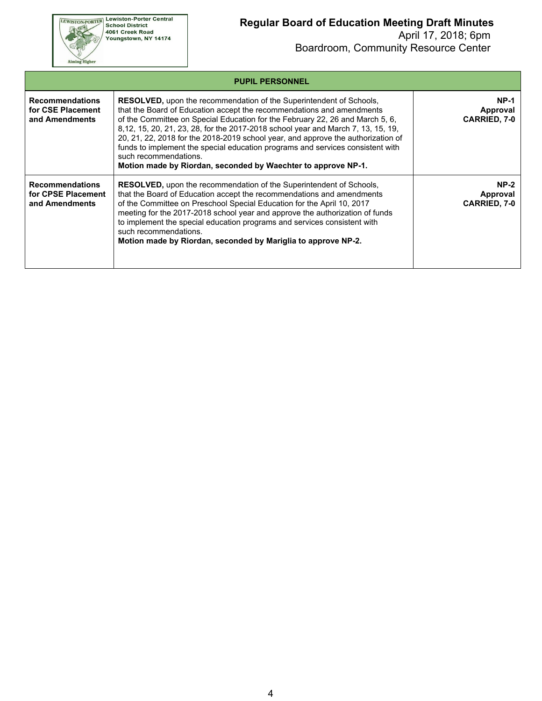Aiming Higher

# **Regular Board of Education Meeting Draft Minutes**

|                                                                | <b>PUPIL PERSONNEL</b>                                                                                                                                                                                                                                                                                                                                                                                                                                                                                                                                                                   |                                           |
|----------------------------------------------------------------|------------------------------------------------------------------------------------------------------------------------------------------------------------------------------------------------------------------------------------------------------------------------------------------------------------------------------------------------------------------------------------------------------------------------------------------------------------------------------------------------------------------------------------------------------------------------------------------|-------------------------------------------|
| <b>Recommendations</b><br>for CSE Placement<br>and Amendments  | <b>RESOLVED, upon the recommendation of the Superintendent of Schools,</b><br>that the Board of Education accept the recommendations and amendments<br>of the Committee on Special Education for the February 22, 26 and March 5, 6,<br>8,12, 15, 20, 21, 23, 28, for the 2017-2018 school year and March 7, 13, 15, 19,<br>20, 21, 22, 2018 for the 2018-2019 school year, and approve the authorization of<br>funds to implement the special education programs and services consistent with<br>such recommendations.<br>Motion made by Riordan, seconded by Waechter to approve NP-1. | $NP-1$<br>Approval<br><b>CARRIED, 7-0</b> |
| <b>Recommendations</b><br>for CPSE Placement<br>and Amendments | <b>RESOLVED, upon the recommendation of the Superintendent of Schools,</b><br>that the Board of Education accept the recommendations and amendments<br>of the Committee on Preschool Special Education for the April 10, 2017<br>meeting for the 2017-2018 school year and approve the authorization of funds<br>to implement the special education programs and services consistent with<br>such recommendations.<br>Motion made by Riordan, seconded by Mariglia to approve NP-2.                                                                                                      | $NP-2$<br>Approval<br><b>CARRIED, 7-0</b> |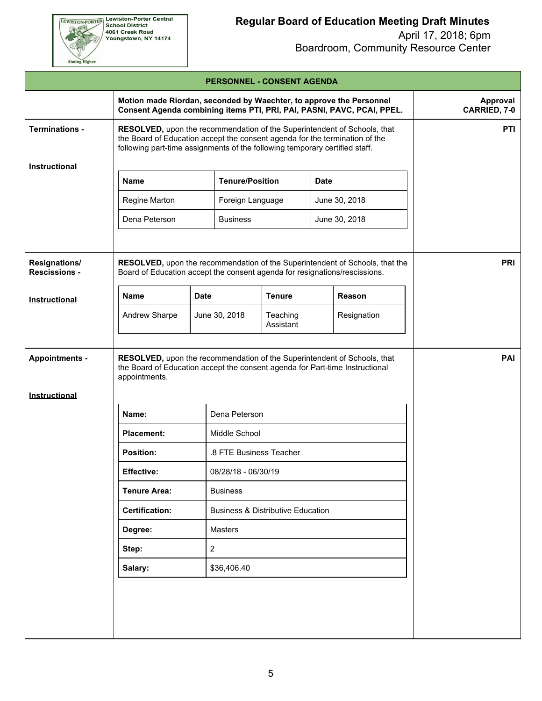

## **Regular Board of Education Meeting Draft Minutes**

|                                       |                                                                                                                                                                                                                                        |             |                         | <b>PERSONNEL - CONSENT AGENDA</b> |             |               |            |
|---------------------------------------|----------------------------------------------------------------------------------------------------------------------------------------------------------------------------------------------------------------------------------------|-------------|-------------------------|-----------------------------------|-------------|---------------|------------|
|                                       | Motion made Riordan, seconded by Waechter, to approve the Personnel<br><b>Approval</b><br>Consent Agenda combining items PTI, PRI, PAI, PASNI, PAVC, PCAI, PPEL.<br>CARRIED, 7-0                                                       |             |                         |                                   |             |               |            |
| <b>Terminations -</b>                 | RESOLVED, upon the recommendation of the Superintendent of Schools, that<br>the Board of Education accept the consent agenda for the termination of the<br>following part-time assignments of the following temporary certified staff. |             |                         |                                   |             |               | <b>PTI</b> |
| Instructional                         |                                                                                                                                                                                                                                        |             |                         |                                   |             |               |            |
|                                       | <b>Name</b>                                                                                                                                                                                                                            |             | <b>Tenure/Position</b>  |                                   | <b>Date</b> |               |            |
|                                       | Regine Marton                                                                                                                                                                                                                          |             | Foreign Language        |                                   |             | June 30, 2018 |            |
|                                       | Dena Peterson                                                                                                                                                                                                                          |             | <b>Business</b>         |                                   |             | June 30, 2018 |            |
| Resignations/<br><b>Rescissions -</b> | <b>PRI</b><br>RESOLVED, upon the recommendation of the Superintendent of Schools, that the<br>Board of Education accept the consent agenda for resignations/rescissions.                                                               |             |                         |                                   |             |               |            |
| Instructional                         | <b>Name</b>                                                                                                                                                                                                                            | <b>Date</b> |                         | <b>Tenure</b>                     |             | Reason        |            |
|                                       | Andrew Sharpe                                                                                                                                                                                                                          |             | June 30, 2018           | Teaching<br>Assistant             |             | Resignation   |            |
| Instructional                         | appointments.                                                                                                                                                                                                                          |             |                         |                                   |             |               |            |
|                                       | Name:                                                                                                                                                                                                                                  |             | Dena Peterson           |                                   |             |               |            |
|                                       | <b>Placement:</b>                                                                                                                                                                                                                      |             | Middle School           |                                   |             |               |            |
|                                       | <b>Position:</b>                                                                                                                                                                                                                       |             | .8 FTE Business Teacher |                                   |             |               |            |
|                                       | <b>Effective:</b><br>08/28/18 - 06/30/19                                                                                                                                                                                               |             |                         |                                   |             |               |            |
|                                       | <b>Tenure Area:</b><br><b>Business</b>                                                                                                                                                                                                 |             |                         |                                   |             |               |            |
|                                       | <b>Certification:</b><br><b>Business &amp; Distributive Education</b>                                                                                                                                                                  |             |                         |                                   |             |               |            |
|                                       | Masters<br>Degree:                                                                                                                                                                                                                     |             |                         |                                   |             |               |            |
|                                       | $\overline{2}$<br>Step:                                                                                                                                                                                                                |             |                         |                                   |             |               |            |
|                                       | \$36,406.40<br>Salary:                                                                                                                                                                                                                 |             |                         |                                   |             |               |            |
|                                       |                                                                                                                                                                                                                                        |             |                         |                                   |             |               |            |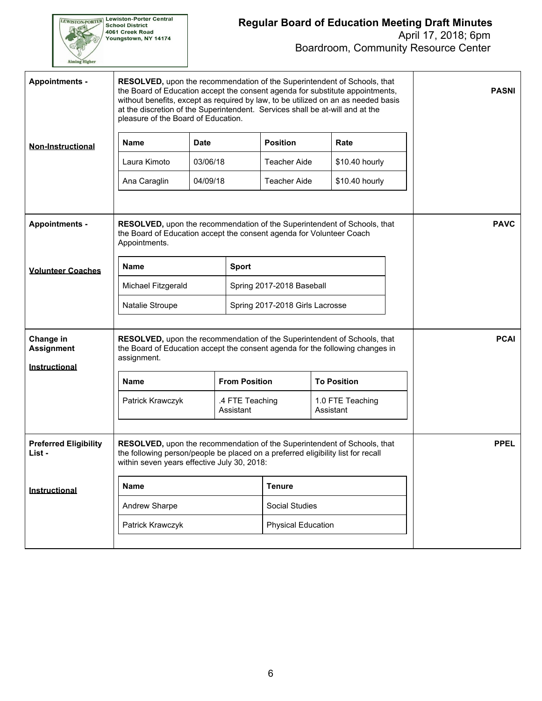

### **Regular Board of Education Meeting Draft Minutes**  April 17, 2018; 6pm

Boardroom, Community Resource Center

| <b>Appointments -</b>                           | pleasure of the Board of Education.                                                                                                                                                                         |              |                              |                                 | RESOLVED, upon the recommendation of the Superintendent of Schools, that<br>the Board of Education accept the consent agenda for substitute appointments,<br>without benefits, except as required by law, to be utilized on an as needed basis<br>at the discretion of the Superintendent. Services shall be at-will and at the |  | <b>PASNI</b> |
|-------------------------------------------------|-------------------------------------------------------------------------------------------------------------------------------------------------------------------------------------------------------------|--------------|------------------------------|---------------------------------|---------------------------------------------------------------------------------------------------------------------------------------------------------------------------------------------------------------------------------------------------------------------------------------------------------------------------------|--|--------------|
| <b>Non-Instructional</b>                        | <b>Name</b>                                                                                                                                                                                                 | <b>Date</b>  |                              | <b>Position</b>                 | Rate                                                                                                                                                                                                                                                                                                                            |  |              |
|                                                 | Laura Kimoto                                                                                                                                                                                                | 03/06/18     |                              | Teacher Aide                    | \$10.40 hourly                                                                                                                                                                                                                                                                                                                  |  |              |
|                                                 | Ana Caraglin                                                                                                                                                                                                | 04/09/18     |                              | Teacher Aide                    | \$10.40 hourly                                                                                                                                                                                                                                                                                                                  |  |              |
| <b>Appointments -</b>                           | <b>RESOLVED</b> , upon the recommendation of the Superintendent of Schools, that<br>the Board of Education accept the consent agenda for Volunteer Coach<br>Appointments.                                   | <b>PAVC</b>  |                              |                                 |                                                                                                                                                                                                                                                                                                                                 |  |              |
| <b>Volunteer Coaches</b>                        | <b>Name</b>                                                                                                                                                                                                 | <b>Sport</b> |                              |                                 |                                                                                                                                                                                                                                                                                                                                 |  |              |
|                                                 | Michael Fitzgerald                                                                                                                                                                                          |              | Spring 2017-2018 Baseball    |                                 |                                                                                                                                                                                                                                                                                                                                 |  |              |
|                                                 | Natalie Stroupe                                                                                                                                                                                             |              |                              | Spring 2017-2018 Girls Lacrosse |                                                                                                                                                                                                                                                                                                                                 |  |              |
| Change in<br><b>Assignment</b><br>Instructional | RESOLVED, upon the recommendation of the Superintendent of Schools, that<br>the Board of Education accept the consent agenda for the following changes in<br>assignment.                                    |              |                              |                                 |                                                                                                                                                                                                                                                                                                                                 |  | <b>PCAI</b>  |
|                                                 | <b>Name</b>                                                                                                                                                                                                 |              | <b>From Position</b>         |                                 | <b>To Position</b>                                                                                                                                                                                                                                                                                                              |  |              |
|                                                 | Patrick Krawczyk                                                                                                                                                                                            |              | .4 FTE Teaching<br>Assistant |                                 | 1.0 FTE Teaching<br>Assistant                                                                                                                                                                                                                                                                                                   |  |              |
| <b>Preferred Eligibility</b><br>List -          | RESOLVED, upon the recommendation of the Superintendent of Schools, that<br>the following person/people be placed on a preferred eligibility list for recall<br>within seven years effective July 30, 2018: |              |                              |                                 |                                                                                                                                                                                                                                                                                                                                 |  | <b>PPEL</b>  |
| Instructional                                   | <b>Name</b>                                                                                                                                                                                                 |              | <b>Tenure</b>                |                                 |                                                                                                                                                                                                                                                                                                                                 |  |              |
|                                                 | Andrew Sharpe<br>Social Studies                                                                                                                                                                             |              |                              |                                 |                                                                                                                                                                                                                                                                                                                                 |  |              |
|                                                 | Patrick Krawczyk<br><b>Physical Education</b>                                                                                                                                                               |              |                              |                                 |                                                                                                                                                                                                                                                                                                                                 |  |              |
|                                                 |                                                                                                                                                                                                             |              |                              |                                 |                                                                                                                                                                                                                                                                                                                                 |  |              |